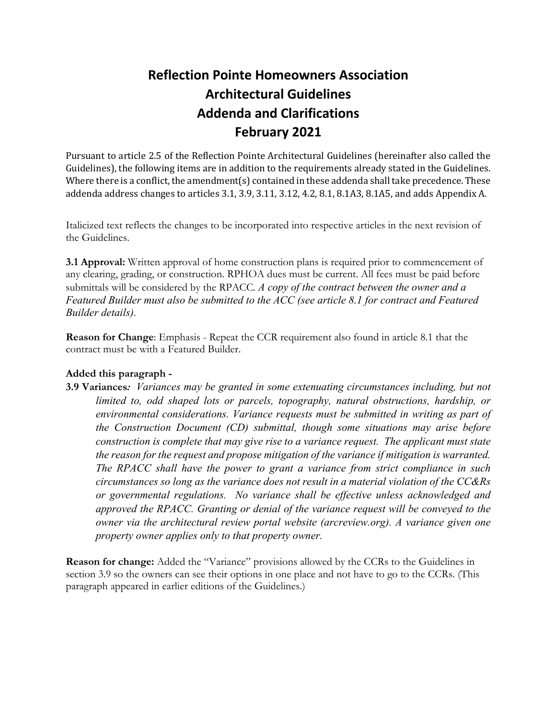# **Reflection Pointe Homeowners Association Architectural Guidelines Addenda and Clarifications February 2021**

Pursuant to article 2.5 of the Reflection Pointe Architectural Guidelines (hereinafter also called the Guidelines), the following items are in addition to the requirements already stated in the Guidelines. Where there is a conflict, the amendment(s) contained in these addenda shall take precedence. These addenda address changes to articles 3.1, 3.9, 3.11, 3.12, 4.2, 8.1, 8.1A3, 8.1A5, and adds Appendix A.

Italicized text reflects the changes to be incorporated into respective articles in the next revision of the Guidelines.

**3.1 Approval:** Written approval of home construction plans is required prior to commencement of any clearing, grading, or construction. RPHOA dues must be current. All fees must be paid before submittals will be considered by the RPACC*. A copy of the contract between the owner and a Featured Builder must also be submitted to the ACC (see article 8.1 for contract and Featured Builder details).*

**Reason for Change**: Emphasis - Repeat the CCR requirement also found in article 8.1 that the contract must be with a Featured Builder.

## **Added this paragraph -**

**3.9 Variances***: Variances may be granted in some extenuating circumstances including, but not limited to, odd shaped lots or parcels, topography, natural obstructions, hardship, or environmental considerations. Variance requests must be submitted in writing as part of the Construction Document (CD) submittal, though some situations may arise before construction is complete that may give rise to a variance request. The applicant must state the reason for the request and propose mitigation of the variance if mitigation is warranted. The RPACC shall have the power to grant a variance from strict compliance in such circumstances so long as the variance does not result in a material violation of the CC&Rs or governmental regulations. No variance shall be effective unless acknowledged and approved the RPACC. Granting or denial of the variance request will be conveyed to the owner via the architectural review portal website (arcreview.org). A variance given one property owner applies only to that property owner.*

**Reason for change:** Added the "Variance" provisions allowed by the CCRs to the Guidelines in section 3.9 so the owners can see their options in one place and not have to go to the CCRs. (This paragraph appeared in earlier editions of the Guidelines.)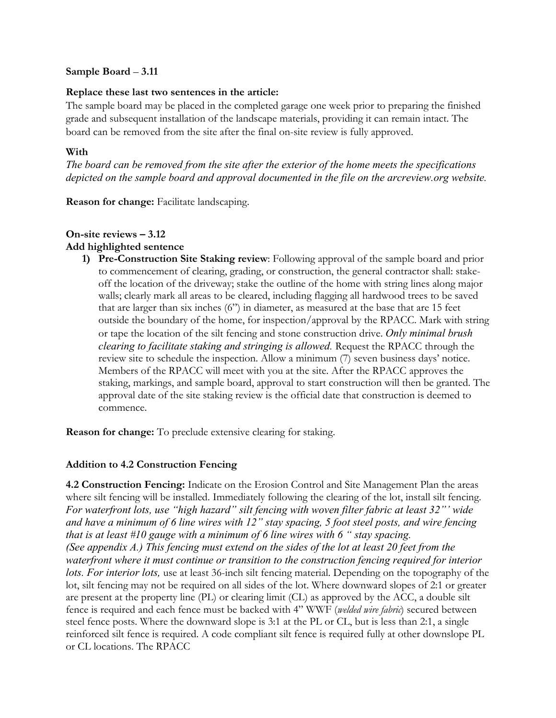## **Sample Board** – **3.11**

## **Replace these last two sentences in the article:**

The sample board may be placed in the completed garage one week prior to preparing the finished grade and subsequent installation of the landscape materials, providing it can remain intact. The board can be removed from the site after the final on-site review is fully approved.

## **With**

*The board can be removed from the site after the exterior of the home meets the specifications depicted on the sample board and approval documented in the file on the arcreview.org website.*

**Reason for change:** Facilitate landscaping.

#### **On-site reviews – 3.12 Add highlighted sentence**

**1) Pre-Construction Site Staking review**: Following approval of the sample board and prior to commencement of clearing, grading, or construction, the general contractor shall: stakeoff the location of the driveway; stake the outline of the home with string lines along major walls; clearly mark all areas to be cleared, including flagging all hardwood trees to be saved that are larger than six inches (6") in diameter, as measured at the base that are 15 feet outside the boundary of the home, for inspection/approval by the RPACC. Mark with string or tape the location of the silt fencing and stone construction drive. *Only minimal brush clearing to facilitate staking and stringing is allowed.* Request the RPACC through the review site to schedule the inspection. Allow a minimum (7) seven business days' notice. Members of the RPACC will meet with you at the site. After the RPACC approves the staking, markings, and sample board, approval to start construction will then be granted. The approval date of the site staking review is the official date that construction is deemed to commence.

**Reason for change:** To preclude extensive clearing for staking.

## **Addition to 4.2 Construction Fencing**

**4.2 Construction Fencing:** Indicate on the Erosion Control and Site Management Plan the areas where silt fencing will be installed. Immediately following the clearing of the lot, install silt fencing. *For waterfront lots, use "high hazard" silt fencing with woven filter fabric at least 32"' wide and have a minimum of 6 line wires with 12" stay spacing, 5 foot steel posts, and wire fencing that is at least #10 gauge with a minimum of 6 line wires with 6 " stay spacing. (See appendix A.) This fencing must extend on the sides of the lot at least 20 feet from the waterfront where it must continue or transition to the construction fencing required for interior lots. For interior lots,* use at least 36-inch silt fencing material. Depending on the topography of the lot, silt fencing may not be required on all sides of the lot. Where downward slopes of 2:1 or greater are present at the property line (PL) or clearing limit (CL) as approved by the ACC, a double silt fence is required and each fence must be backed with 4" WWF (*welded wire fabric*) secured between steel fence posts. Where the downward slope is 3:1 at the PL or CL, but is less than 2:1, a single reinforced silt fence is required. A code compliant silt fence is required fully at other downslope PL or CL locations. The RPACC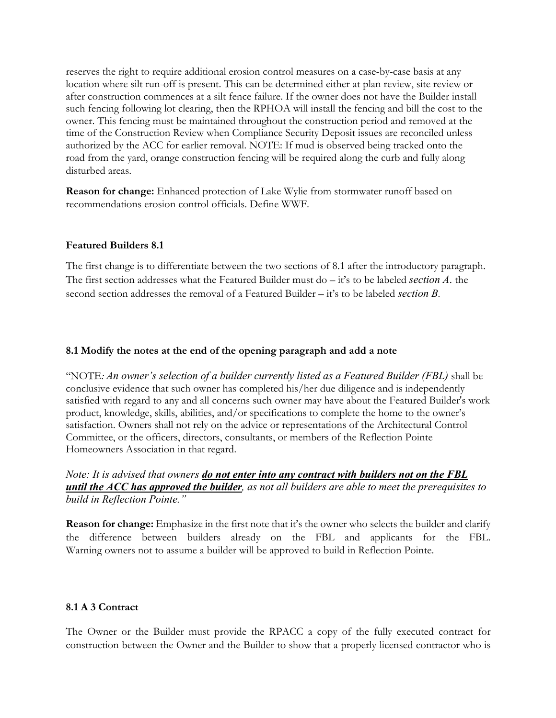reserves the right to require additional erosion control measures on a case-by-case basis at any location where silt run-off is present. This can be determined either at plan review, site review or after construction commences at a silt fence failure. If the owner does not have the Builder install such fencing following lot clearing, then the RPHOA will install the fencing and bill the cost to the owner. This fencing must be maintained throughout the construction period and removed at the time of the Construction Review when Compliance Security Deposit issues are reconciled unless authorized by the ACC for earlier removal. NOTE: If mud is observed being tracked onto the road from the yard, orange construction fencing will be required along the curb and fully along disturbed areas.

**Reason for change:** Enhanced protection of Lake Wylie from stormwater runoff based on recommendations erosion control officials. Define WWF.

## **Featured Builders 8.1**

The first change is to differentiate between the two sections of 8.1 after the introductory paragraph. The first section addresses what the Featured Builder must do – it's to be labeled *section A*. the second section addresses the removal of a Featured Builder – it's to be labeled *section B.*

## **8.1 Modify the notes at the end of the opening paragraph and add a note**

"NOTE*: An owner's selection of a builder currently listed as a Featured Builder (FBL)* shall be conclusive evidence that such owner has completed his/her due diligence and is independently satisfied with regard to any and all concerns such owner may have about the Featured Builder's work product, knowledge, skills, abilities, and/or specifications to complete the home to the owner's satisfaction. Owners shall not rely on the advice or representations of the Architectural Control Committee, or the officers, directors, consultants, or members of the Reflection Pointe Homeowners Association in that regard.

*Note: It is advised that owners do not enter into any contract with builders not on the FBL until the ACC has approved the builder, as not all builders are able to meet the prerequisites to build in Reflection Pointe."*

**Reason for change:** Emphasize in the first note that it's the owner who selects the builder and clarify the difference between builders already on the FBL and applicants for the FBL. Warning owners not to assume a builder will be approved to build in Reflection Pointe.

## **8.1 A 3 Contract**

The Owner or the Builder must provide the RPACC a copy of the fully executed contract for construction between the Owner and the Builder to show that a properly licensed contractor who is